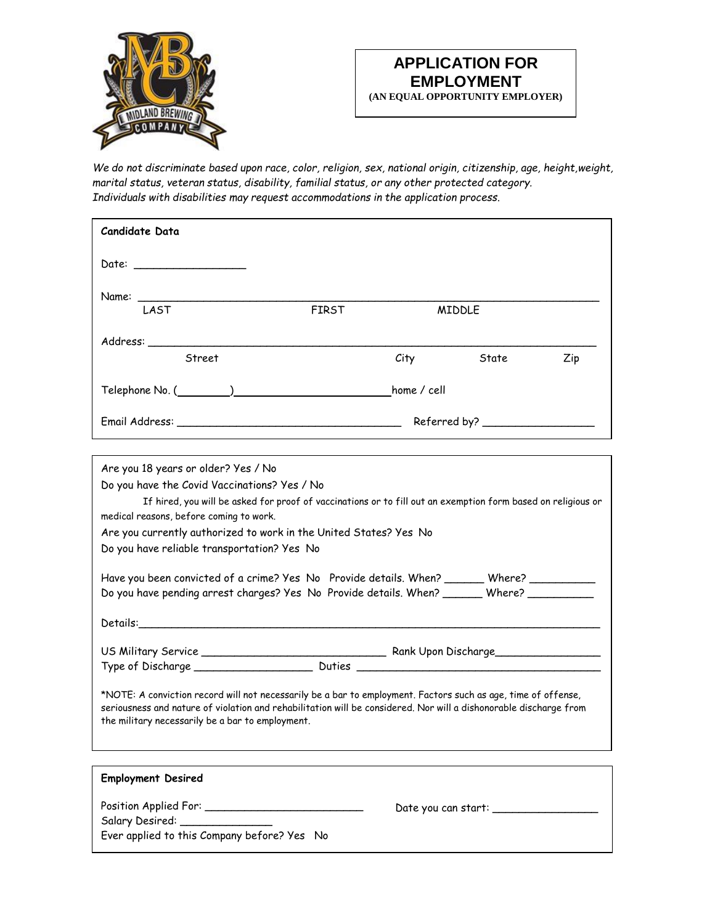

*We do not discriminate based upon race, color, religion, sex, national origin, citizenship, age, height,weight, marital status, veteran status, disability, familial status, or any other protected category. Individuals with disabilities may request accommodations in the application process*.

| Candidate Data                                                                                                                                               |              |      |                                     |     |  |
|--------------------------------------------------------------------------------------------------------------------------------------------------------------|--------------|------|-------------------------------------|-----|--|
| Date: $\qquad \qquad$                                                                                                                                        |              |      |                                     |     |  |
|                                                                                                                                                              |              |      |                                     |     |  |
| Name: LAST                                                                                                                                                   | <b>FIRST</b> |      | <b>MIDDLE</b>                       |     |  |
|                                                                                                                                                              |              |      |                                     |     |  |
| Street                                                                                                                                                       |              | City | State                               | Zip |  |
| Telephone No. (Channel Communication of the View Mone / cell                                                                                                 |              |      |                                     |     |  |
|                                                                                                                                                              |              |      |                                     |     |  |
|                                                                                                                                                              |              |      |                                     |     |  |
| Are you 18 years or older? Yes / No                                                                                                                          |              |      |                                     |     |  |
| Do you have the Covid Vaccinations? Yes / No<br>If hired, you will be asked for proof of vaccinations or to fill out an exemption form based on religious or |              |      |                                     |     |  |
| medical reasons, before coming to work.                                                                                                                      |              |      |                                     |     |  |
| Are you currently authorized to work in the United States? Yes No                                                                                            |              |      |                                     |     |  |
| Do you have reliable transportation? Yes No                                                                                                                  |              |      |                                     |     |  |
| Have you been convicted of a crime? Yes No Provide details. When? _______ Where? _________                                                                   |              |      |                                     |     |  |
| Do you have pending arrest charges? Yes No Provide details. When? _______ Where? ___________                                                                 |              |      |                                     |     |  |
|                                                                                                                                                              |              |      |                                     |     |  |
|                                                                                                                                                              |              |      |                                     |     |  |
|                                                                                                                                                              |              |      |                                     |     |  |
| *NOTE: A conviction record will not necessarily be a bar to employment. Factors such as age, time of offense,                                                |              |      |                                     |     |  |
| seriousness and nature of violation and rehabilitation will be considered. Nor will a dishonorable discharge from                                            |              |      |                                     |     |  |
| the military necessarily be a bar to employment.                                                                                                             |              |      |                                     |     |  |
|                                                                                                                                                              |              |      |                                     |     |  |
| <b>Employment Desired</b>                                                                                                                                    |              |      |                                     |     |  |
|                                                                                                                                                              |              |      | Date you can start: _______________ |     |  |
| Salary Desired: _______________<br>Ever applied to this Company before? Yes No                                                                               |              |      |                                     |     |  |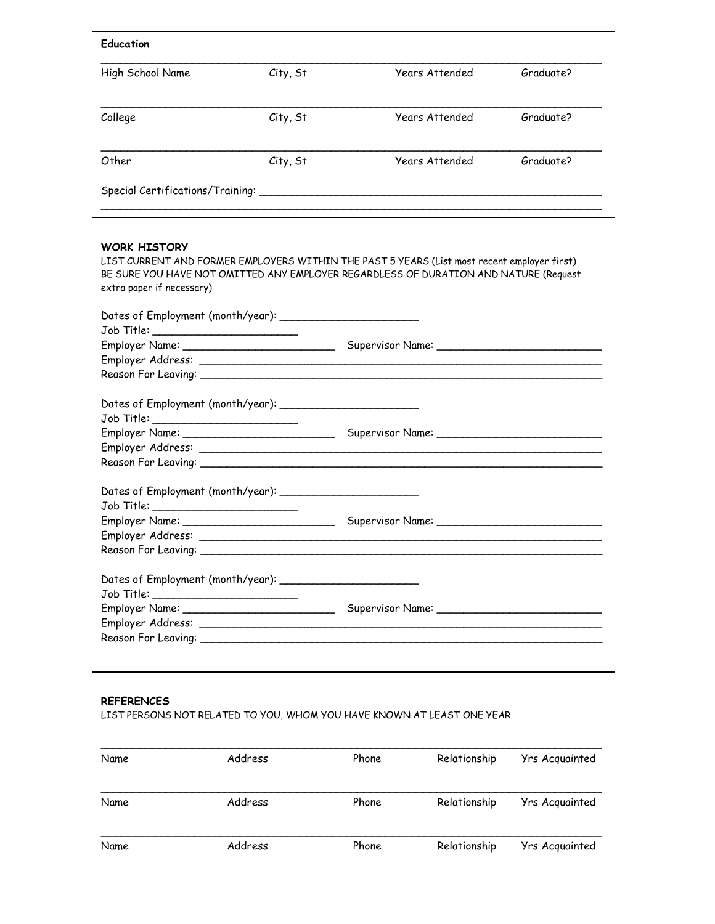| Education                        |          |                       |           |  |  |
|----------------------------------|----------|-----------------------|-----------|--|--|
| High School Name                 | City, St | Years Attended        | Graduate? |  |  |
| College                          | City, St | <b>Years Attended</b> | Graduate? |  |  |
| Other                            | City, St | <b>Years Attended</b> | Graduate? |  |  |
| Special Certifications/Training: |          |                       |           |  |  |

| <b>WORK HISTORY</b>                    |                                                                                                                                                                                     |
|----------------------------------------|-------------------------------------------------------------------------------------------------------------------------------------------------------------------------------------|
|                                        | LIST CURRENT AND FORMER EMPLOYERS WITHIN THE PAST 5 YEARS (List most recent employer first)<br>BE SURE YOU HAVE NOT OMITTED ANY EMPLOYER REGARDLESS OF DURATION AND NATURE (Request |
| extra paper if necessary)              |                                                                                                                                                                                     |
|                                        |                                                                                                                                                                                     |
|                                        |                                                                                                                                                                                     |
| Job Title: __________________________  |                                                                                                                                                                                     |
|                                        |                                                                                                                                                                                     |
|                                        |                                                                                                                                                                                     |
|                                        |                                                                                                                                                                                     |
|                                        |                                                                                                                                                                                     |
|                                        |                                                                                                                                                                                     |
| Job Title: __________________________  |                                                                                                                                                                                     |
|                                        |                                                                                                                                                                                     |
|                                        |                                                                                                                                                                                     |
|                                        |                                                                                                                                                                                     |
|                                        |                                                                                                                                                                                     |
|                                        |                                                                                                                                                                                     |
| Job Title: _________________________   |                                                                                                                                                                                     |
|                                        |                                                                                                                                                                                     |
|                                        |                                                                                                                                                                                     |
|                                        |                                                                                                                                                                                     |
|                                        |                                                                                                                                                                                     |
| Job Title: ___________________________ |                                                                                                                                                                                     |
|                                        |                                                                                                                                                                                     |
|                                        |                                                                                                                                                                                     |
|                                        |                                                                                                                                                                                     |
|                                        |                                                                                                                                                                                     |

| <b>REFERENCES</b> | LIST PERSONS NOT RELATED TO YOU, WHOM YOU HAVE KNOWN AT LEAST ONE YEAR |       |              |                |
|-------------------|------------------------------------------------------------------------|-------|--------------|----------------|
| Name              | Address                                                                | Phone | Relationship | Yrs Acquainted |
| Name              | Address                                                                | Phone | Relationship | Yrs Acquainted |
| Name              | Address                                                                | Phone | Relationship | Yrs Acquainted |